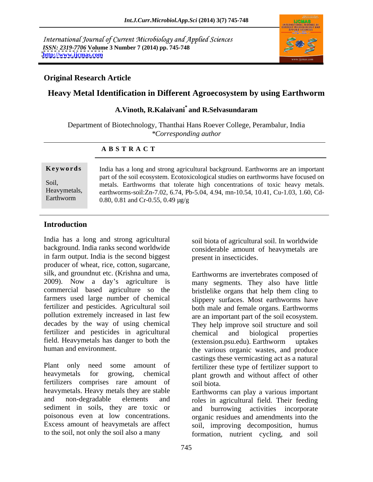International Journal of Current Microbiology and Applied Sciences *ISSN: 2319-7706* **Volume 3 Number 7 (2014) pp. 745-748 <http://www.ijcmas.com>**



#### **Original Research Article**

## **Heavy Metal Identification in Different Agroecosystem by using Earthworm**

#### **A.Vinoth, R.Kalaivani\* and R.Selvasundaram**

Department of Biotechnology, Thanthai Hans Roever College, Perambalur, India *\*Corresponding author*

#### **A B S T R A C T**

#### **Introduction**

India has a long and strong agricultural background. India ranks second worldwide considerable amount of heavymetals are in farm output. India is the second biggest producer of wheat, rice, cotton, sugarcane,<br>silk, and groundnut etc. (Krishna and uma, Farthworms are invertebrates composed of fertilizer and pesticides in agricultural chemical and biological properties field. Heavymetals has danger to both the (extension.psu.edu). Earthworm uptakes human and environment.

Plant only need some amount of fertilizer these type of fertilizer support to heavymetals for growing, chemical plant growth and without affect of other fertilizers comprises rare amount of soil biota. heavymetals. Heavy metals they are stable and non-degradable elements and roles in agricultural field. Their feeding sediment in soils, they are toxic or and burrowing activities incorporate poisonous even at low concentrations. organic residues and amendments into the Excess amount of heavymetals are affect soil, improving decomposition, humus

soil biota of agricultural soil. In worldwide present in insecticides.

2009). Now a day's agriculture is many segments. They also have little commercial based agriculture so the bristlelike organs that help them cling to farmers used large number of chemical slippery surfaces. Most earthworms have fertilizer and pesticides. Agricultural soil both male and female organs. Earthworms pollution extremely increased in last few are an important part of the soil ecosystem. decades by the way of using chemical They help improve soil structure and soil human and environment. The various organic wastes, and produce Earthworms are invertebrates composed of chemical and biological properties (extension.psu.edu). Earthworm uptakes castings these vermicasting act as a natural soil biota.

to the soil, not only the soil also a many formation, nutrient cycling, and soil Earthworms can play a various important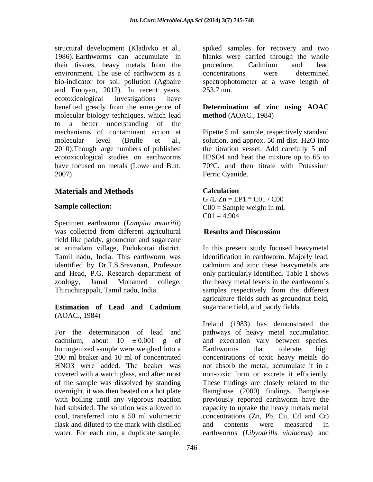structural development (Kladivko et al., spiked samples for recovery and two 1986). Earthworms can accumulate in blanks were carried through the whole their tissues, heavy metals from the procedure. Cadmium and lead environment. The use of earthworm as a concentrations were determined bio-indicator for soil pollution (Agbaire spectrophotometer at a wave length of and Emoyan, 2012). In recent years, ecotoxicological investigations have benefited greatly from the emergence of **Determination of zinc using AOAC** molecular biology techniques, which lead to a better understanding of the mechanisms of contaminant action at Pipette 5 mL sample, respectively standard molecular level (Brulle et al., solution, and approx. 50 ml dist. H2O into 2010).Though large numbers of published the titration vessel. Add carefully 5 mL ecotoxicological studies on earthworms H2SO4 and heat the mixture up to 65 to have focused on metals (Lowe and Butt,  $70^{\circ}$ C, and then titrate with Potassium

#### **Materials and Methods**

Specimen earthworm (*Lampito mauritii*) was collected from different agricultural **Results and Discussion** field like paddy, groundnut and sugarcane

#### **Estimation of Lead and Cadmium** (AOAC., 1984)

homogenized sample were weighed into a covered with a watch glass, and after most of the sample was dissolved by standing overnight, it was then heated on a hot plate with boiling until any vigorous reaction by previously reported earthworm have the flask and diluted to the mark with distilled water. For each run, a duplicate sample, earthworms (*Libyodrills violaceus*) and

procedure. Cadmium and lead concentrations were determined 253.7 nm.

# **method** (AOAC., 1984)

2007) Ferric Cyanide. 70°C, and then titrate with Potassium Ferric Cyanide.

#### **Calculation**

**Sample collection:**  $CO0 =$  Sample weight in mL  $G/L Zn = EPI * CO1 / CO0$  $C00 =$  Sample weight in mL  $C01 = 4.904$ 

#### **Results and Discussion**

at arimalam village, Pudukottai district, In this present study focused heavymetal Tamil nadu, India. This earthworm was identification in earthworm. Majorly lead, identified by Dr.T.S.Sravanan, Professor cadmium and zinc these heavymetals are and Head, P.G. Research department of only particularly identified. Table 1 shows zoology, Jamal Mohamed college, the heavy metal levels in the earthworm's Thiruchirappali, Tamil nadu, India. samples respectively from the different agriculture fields such as groundnut field, sugarcane field, and paddy fields.

For the determination of lead and pathways of heavy metal accumulation cadmium, about  $10 \pm 0.001$  g of and execration vary between species. 200 ml beaker and 10 ml of concentrated concentrations of toxic heavy metals do HNO3 were added. The beaker was not absorb the metal, accumulate it in a had subsided. The solution was allowed to capacity to uptake the heavy metals metal cool, transferred into a 50 ml volumetric concentrations (Zn, Pb, Cu, Cd and Cr) Ireland (1983) has demonstrated the Earthworms that tolerate high non-toxic form or excrete it efficiently. These findings are closely related to the Bamgbose (2000) findings. Bamgbose previously reported earthworm have the and contents were measured in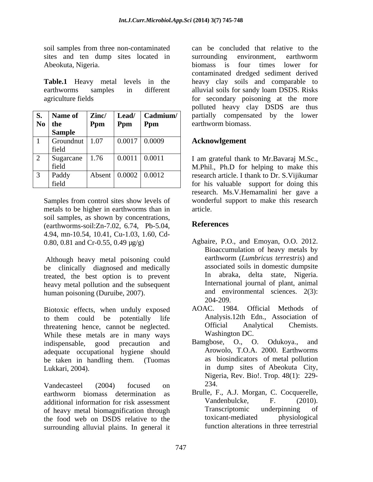sites and ten dump sites located in surrounding environment, earthworm Abeokuta, Nigeria. **Abeokuta**, Nigeria. **Abeokuta**, Nigeria.

| S. Name of                        | Zinc/        | Lead/                              | $\vert$ Cadmium/ $\vert$ | partially compensated by the lower                                                      |
|-----------------------------------|--------------|------------------------------------|--------------------------|-----------------------------------------------------------------------------------------|
|                                   |              |                                    |                          |                                                                                         |
| $\bf{No}$ the                     | Ppm          | $\parallel$ Ppm                    | $\mathbf{Ppm}$           |                                                                                         |
| Sample                            |              |                                    |                          |                                                                                         |
| Groundnut                         | 1.07         | $0.0017$ 0.0009                    |                          |                                                                                         |
|                                   |              |                                    |                          |                                                                                         |
| field<br>______                   |              |                                    |                          |                                                                                         |
| $\angle$ Sugarcane 1 <sup>1</sup> | $\vert$ 1.76 | $\vert 0.0011 \vert 0.0011$        |                          |                                                                                         |
|                                   |              |                                    |                          | I am grateful thank to Mr.Bavaraj M.Sc.,                                                |
| field<br>______                   |              |                                    |                          |                                                                                         |
| Paddy                             |              | Absent $\vert 0.0002 \vert 0.0012$ |                          | M.Phil., Ph.D for helping to make this<br>research article. I thank to Dr. S. Vijikumar |
|                                   |              |                                    |                          | for his valuable support for doing this                                                 |
| field                             |              |                                    |                          |                                                                                         |

metals to be higher in earthworms than in soil samples, as shown by concentrations,<br>(earthworms-soil: $7n-7.02, 6.74$ , Pb-5.04,<br>References (earthworms-soil:Zn-7.02, 6.74, Pb-5.04, 4.94, mn-10.54, 10.41, Cu-1.03, 1.60, Cd- 0.80, 0.81 and Cr-0.55, 0.49 µg/g)

be clinically diagnosed and medically treated, the best option is to prevent heavy metal pollution and the subsequent human poisoning (Duruibe, 2007). and env and env and env and env and env and env and env and env and env and env and env and env and env and env and env and env and env and env and env and env and env and env and env and e

Biotoxic effects, when unduly exposed AOAC. to them could be potentially life **Analysis.12th Edn., Association of** threatening hence, cannot be neglected. Official Analytical Chemists. While these metals are in many ways<br>indispensable good precaution and Bamgbose, O., O. Odukova., and indispensable, good precaution and Bamgbose, O., O. Odukoya., and adequate occupational hygiene should be taken in handling them. (Tuomas Lukkari, 2004). in dump sites of Abeokuta City,

Vandecasteel  $(2004)$  focused on  $234$ . earthworm biomass determination as Brulle, F., A.J. Morgan, C. Cocquerelle, additional information for risk assessment<br>
of heavy metal biomagnification through<br>
Transcriptomic underpinning of of heavy metal biomagnification through the intervention independent of the food web on DSDS relative to the toxicant-mediated physiological the food web on DSDS relative to the surrounding alluvial plains. In general it

soil samples from three non-contaminated can be concluded that relative to the **Table.1** Heavy metal levels in the heavy clay soils and comparable to earthworms samples in different alluvial soils for sandy loam DSDS. Risks agriculture fields for secondary poisoning at the more **Ppm Ppm Ppm earthworm biomass. Ppm** Ppm arthworm biomass. **Ppm** earthworm biomass. surrounding environment, earthworm biomass is four times lower for contaminated dredged sediment derived polluted heavy clay DSDS are thus

#### **Acknowlgement**

Samples from control sites show levels of wonderful support to make this research research. Ms.V.Hemamalini her gave a article.

### **References**

- Although heavy metal poisoning could earthworm (*Lumbricus terrestris*) and Agbaire, P.O., and Emoyan, O.O. 2012. Bioaccumulation of heavy metals by earthworm (*Lumbricus terrestris*) and associated soils in domestic dumpsite In abraka, delta state, Nigeria. International journal of plant, animal and environmental sciences. 2(3): 204-209.
	- 1984. Official Methods of Analysis.12th Edn., Association of Official Analytical Chemists. Washington DC.
	- Bamgbose, O., O. Odukoya., Arowolo, T.O.A. 2000. Earthworms as biosindicators of metal pollution Nigeria, Rev. Bio!. Trop. 48(1): 229- 234.
	- Brulle, F., A.J. Morgan, C. Cocquerelle, Vandenbulcke, F. (2010). Transcriptomic underpinning of toxicant-mediated physiological function alterations in three terrestrial